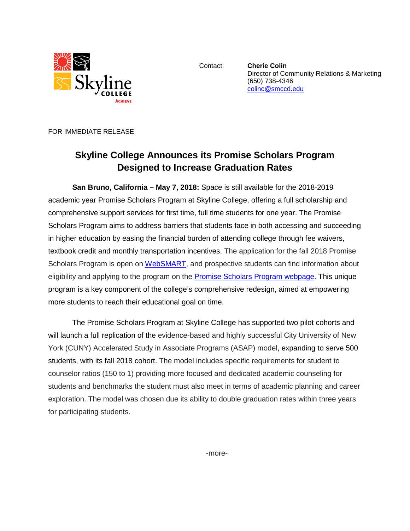

Contact: **Cherie Colin** Director of Community Relations & Marketing (650) 738-4346 [colinc@smccd.edu](mailto:colinc@smccd.edu) 

FOR IMMEDIATE RELEASE

## **Skyline College Announces its Promise Scholars Program Designed to Increase Graduation Rates**

**San Bruno, California – May 7, 2018:** Space is still available for the 2018-2019 academic year Promise Scholars Program at Skyline College, offering a full scholarship and comprehensive support services for first time, full time students for one year. The Promise Scholars Program aims to address barriers that students face in both accessing and succeeding in higher education by easing the financial burden of attending college through fee waivers, textbook credit and monthly transportation incentives. The application for the fall 2018 Promise Scholars Program is open on [WebSMART,](https://websmart.smccd.edu/) and prospective students can find information about eligibility and applying to the program on the **Promise Scholars Program webpage**. This unique program is a key component of the college's comprehensive redesign, aimed at empowering more students to reach their educational goal on time.

The Promise Scholars Program at Skyline College has supported two pilot cohorts and will launch a full replication of the evidence-based and highly successful City University of New York (CUNY) Accelerated Study in Associate Programs (ASAP) model, expanding to serve 500 students, with its fall 2018 cohort. The model includes specific requirements for student to counselor ratios (150 to 1) providing more focused and dedicated academic counseling for students and benchmarks the student must also meet in terms of academic planning and career exploration. The model was chosen due its ability to double graduation rates within three years for participating students.

-more-